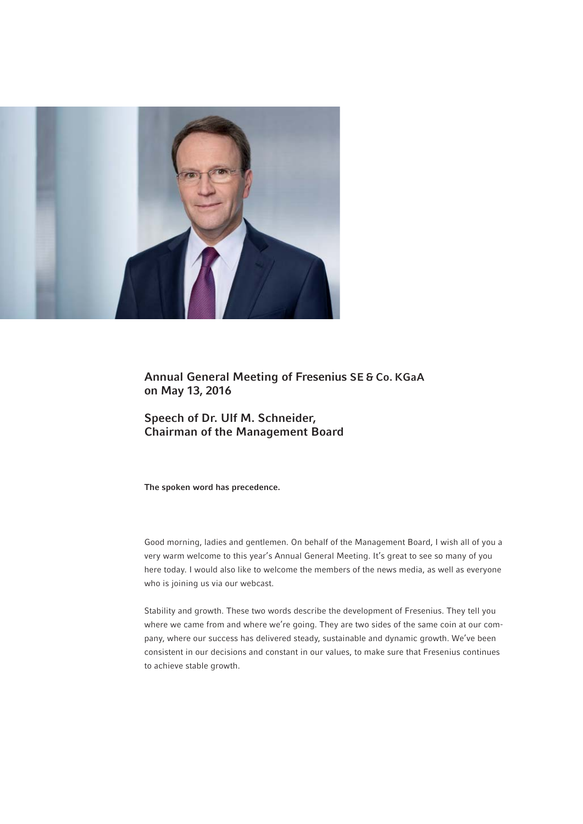

Annual General Meeting of Fresenius SE & Co. KGaA on May 13, 2016

Speech of Dr. Ulf M. Schneider, Chairman of the Management Board

The spoken word has precedence.

Good morning, ladies and gentlemen. On behalf of the Management Board, I wish all of you a very warm welcome to this year's Annual General Meeting. It's great to see so many of you here today. I would also like to welcome the members of the news media, as well as everyone who is joining us via our webcast.

Stability and growth. These two words describe the development of Fresenius. They tell you where we came from and where we're going. They are two sides of the same coin at our company, where our success has delivered steady, sustainable and dynamic growth. We've been consistent in our decisions and constant in our values, to make sure that Fresenius continues to achieve stable growth.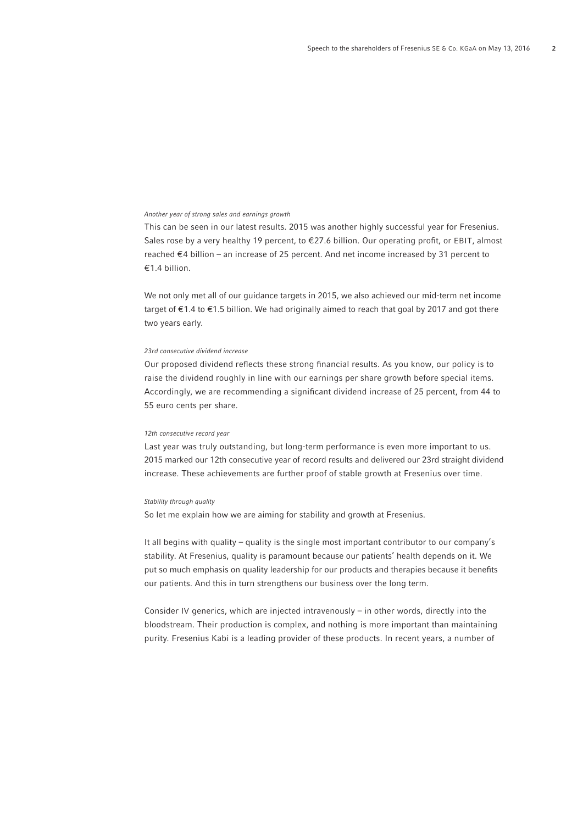### Another year of strong sales and earnings growth

This can be seen in our latest results. 2015 was another highly successful year for Fresenius. Sales rose by a very healthy 19 percent, to €27.6 billion. Our operating profit, or EBIT, almost reached €4 billion – an increase of 25 percent. And net income increased by 31 percent to € 1.4 billion.

We not only met all of our guidance targets in 2015, we also achieved our mid-term net income target of  $\epsilon$ 1.4 to  $\epsilon$ 1.5 billion. We had originally aimed to reach that goal by 2017 and got there two years early.

### 23rd consecutive dividend increase

Our proposed dividend reflects these strong financial results. As you know, our policy is to raise the dividend roughly in line with our earnings per share growth before special items. Accordingly, we are recommending a significant dividend increase of 25 percent, from 44 to 55 euro cents per share.

### 12th consecutive record year

Last year was truly outstanding, but long-term performance is even more important to us. 2015 marked our 12th consecutive year of record results and delivered our 23rd straight dividend increase. These achievements are further proof of stable growth at Fresenius over time.

#### Stability through quality

So let me explain how we are aiming for stability and growth at Fresenius.

It all begins with quality – quality is the single most important contributor to our company's stability. At Fresenius, quality is paramount because our patients' health depends on it. We put so much emphasis on quality leadership for our products and therapies because it benefits our patients. And this in turn strengthens our business over the long term.

Consider IV generics, which are injected intravenously – in other words, directly into the bloodstream. Their production is complex, and nothing is more important than maintaining purity. Fresenius Kabi is a leading provider of these products. In recent years, a number of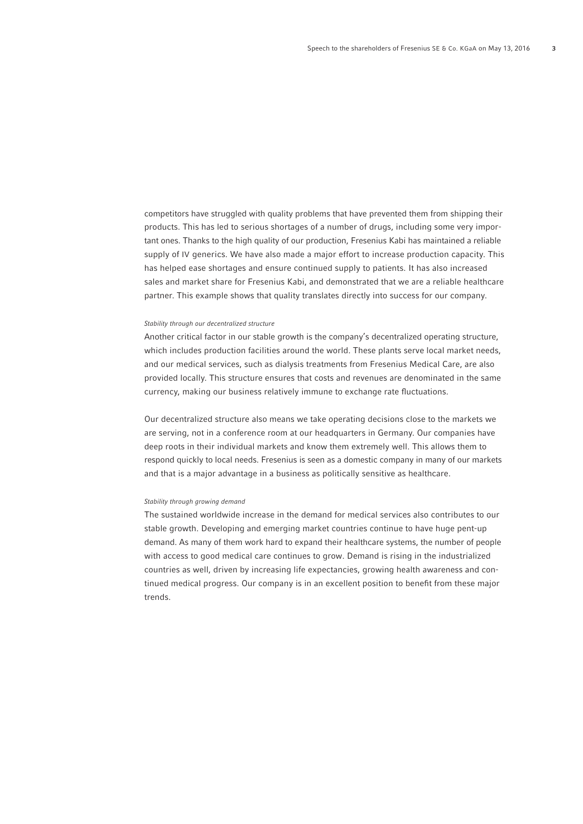competitors have struggled with quality problems that have prevented them from shipping their products. This has led to serious shortages of a number of drugs, including some very important ones. Thanks to the high quality of our production, Fresenius Kabi has maintained a reliable supply of IV generics. We have also made a major effort to increase production capacity. This has helped ease shortages and ensure continued supply to patients. It has also increased sales and market share for Fresenius Kabi, and demonstrated that we are a reliable healthcare partner. This example shows that quality translates directly into success for our company.

#### Stability through our decentralized structure

Another critical factor in our stable growth is the company's decentralized operating structure, which includes production facilities around the world. These plants serve local market needs, and our medical services, such as dialysis treatments from Fresenius Medical Care, are also provided locally. This structure ensures that costs and revenues are denominated in the same currency, making our business relatively immune to exchange rate fluctuations.

Our decentralized structure also means we take operating decisions close to the markets we are serving, not in a conference room at our headquarters in Germany. Our companies have deep roots in their individual markets and know them extremely well. This allows them to respond quickly to local needs. Fresenius is seen as a domestic company in many of our markets and that is a major advantage in a business as politically sensitive as healthcare.

## Stability through growing demand

The sustained worldwide increase in the demand for medical services also contributes to our stable growth. Developing and emerging market countries continue to have huge pent-up demand. As many of them work hard to expand their healthcare systems, the number of people with access to good medical care continues to grow. Demand is rising in the industrialized countries as well, driven by increasing life expectancies, growing health awareness and continued medical progress. Our company is in an excellent position to benefit from these major trends.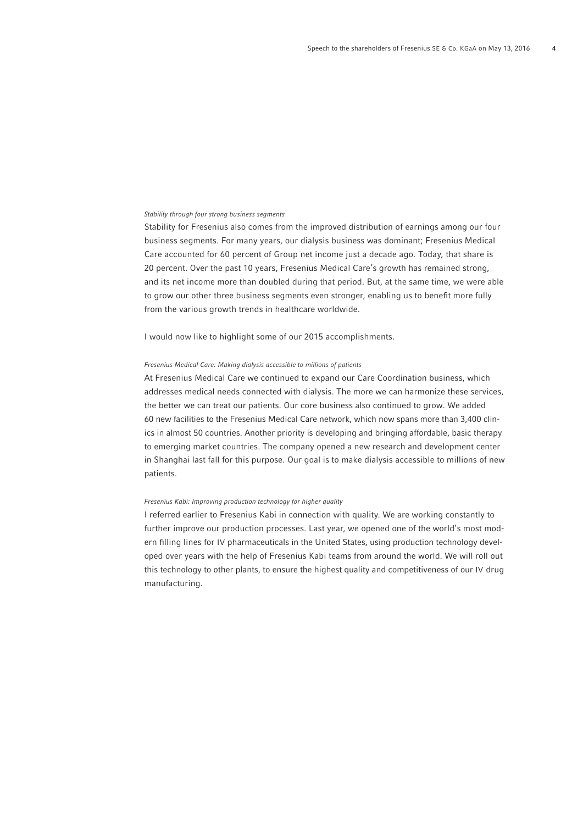## Stability through four strong business segments

Stability for Fresenius also comes from the improved distribution of earnings among our four business segments. For many years, our dialysis business was dominant; Fresenius Medical Care accounted for 60 percent of Group net income just a decade ago. Today, that share is 20 percent. Over the past 10 years, Fresenius Medical Care's growth has remained strong, and its net income more than doubled during that period. But, at the same time, we were able to grow our other three business segments even stronger, enabling us to benefit more fully from the various growth trends in healthcare worldwide.

I would now like to highlight some of our 2015 accomplishments.

### Fresenius Medical Care: Making dialysis accessible to millions of patients

At Fresenius Medical Care we continued to expand our Care Coordination business, which addresses medical needs connected with dialysis. The more we can harmonize these services, the better we can treat our patients. Our core business also continued to grow. We added 60 new facilities to the Fresenius Medical Care network, which now spans more than 3,400 clinics in almost 50 countries. Another priority is developing and bringing affordable, basic therapy to emerging market countries. The company opened a new research and development center in Shanghai last fall for this purpose. Our goal is to make dialysis accessible to millions of new patients.

### Fresenius Kabi: Improving production technology for higher quality

I referred earlier to Fresenius Kabi in connection with quality. We are working constantly to further improve our production processes. Last year, we opened one of the world's most modern filling lines for IV pharmaceuticals in the United States, using production technology developed over years with the help of Fresenius Kabi teams from around the world. We will roll out this technology to other plants, to ensure the highest quality and competitiveness of our IV drug manufacturing.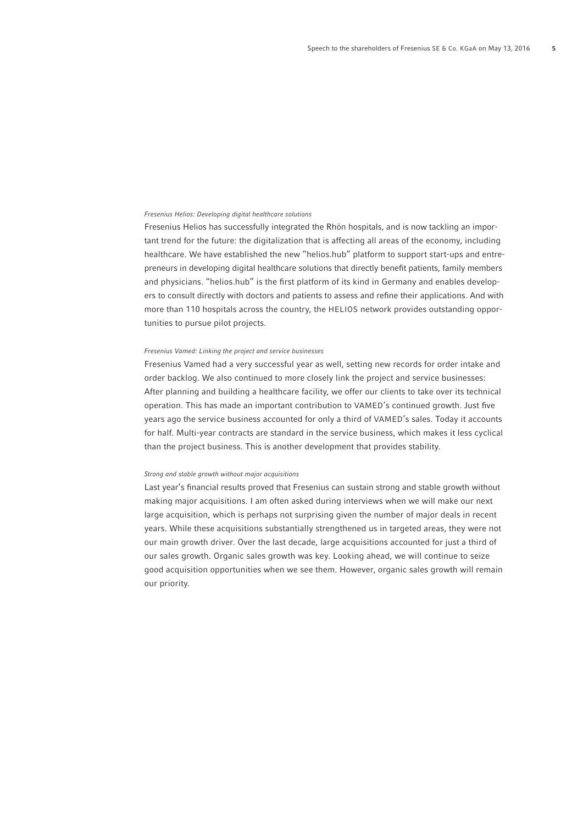## Fresenius Helios: Developing digital healthcare solutions

Fresenius Helios has successfully integrated the Rhön hospitals, and is now tackling an important trend for the future: the digitalization that is affecting all areas of the economy, including healthcare. We have established the new "helios.hub" platform to support start-ups and entrepreneurs in developing digital healthcare solutions that directly benefit patients, family members and physicians. "helios.hub" is the first platform of its kind in Germany and enables developers to consult directly with doctors and patients to assess and refine their applications. And with more than 110 hospitals across the country, the HELIOS network provides outstanding opportunities to pursue pilot projects.

### Fresenius Vamed: Linking the project and service businesses

Fresenius Vamed had a very successful year as well, setting new records for order intake and order backlog. We also continued to more closely link the project and service businesses: After planning and building a healthcare facility, we offer our clients to take over its technical operation. This has made an important contribution to VAMED's continued growth. Just five years ago the service business accounted for only a third of VAMED's sales. Today it accounts for half. Multi-year contracts are standard in the service business, which makes it less cyclical than the project business. This is another development that provides stability.

#### Strong and stable growth without major acquisitions

Last year's financial results proved that Fresenius can sustain strong and stable growth without making major acquisitions. I am often asked during interviews when we will make our next large acquisition, which is perhaps not surprising given the number of major deals in recent years. While these acquisitions substantially strengthened us in targeted areas, they were not our main growth driver. Over the last decade, large acquisitions accounted for just a third of our sales growth. Organic sales growth was key. Looking ahead, we will continue to seize good acquisition opportunities when we see them. However, organic sales growth will remain our priority.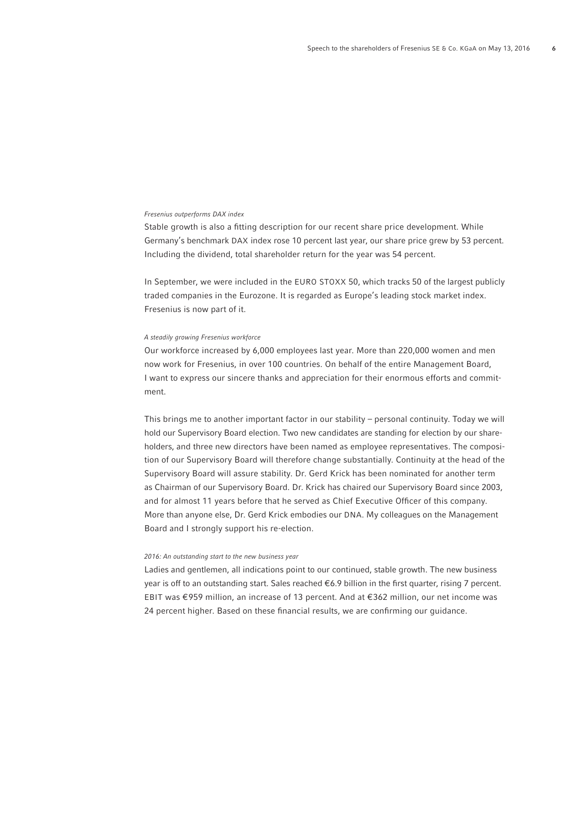# Fresenius outperforms DAX index

Stable growth is also a fitting description for our recent share price development. While Germany's benchmark DAX index rose 10 percent last year, our share price grew by 53 percent. Including the dividend, total shareholder return for the year was 54 percent.

In September, we were included in the EURO STOXX 50, which tracks 50 of the largest publicly traded companies in the Eurozone. It is regarded as Europe's leading stock market index. Fresenius is now part of it.

### A steadily growing Fresenius workforce

Our workforce increased by 6,000 employees last year. More than 220,000 women and men now work for Fresenius, in over 100 countries. On behalf of the entire Management Board, I want to express our sincere thanks and appreciation for their enormous efforts and commitment.

This brings me to another important factor in our stability – personal continuity. Today we will hold our Supervisory Board election. Two new candidates are standing for election by our shareholders, and three new directors have been named as employee representatives. The composition of our Supervisory Board will therefore change substantially. Continuity at the head of the Supervisory Board will assure stability. Dr. Gerd Krick has been nominated for another term as Chairman of our Supervisory Board. Dr. Krick has chaired our Supervisory Board since 2003, and for almost 11 years before that he served as Chief Executive Officer of this company. More than anyone else, Dr. Gerd Krick embodies our DNA. My colleagues on the Management Board and I strongly support his re-election.

#### 2016: An outstanding start to the new business year

Ladies and gentlemen, all indications point to our continued, stable growth. The new business year is off to an outstanding start. Sales reached €6.9 billion in the first quarter, rising 7 percent. EBIT was € 959 million, an increase of 13 percent. And at € 362 million, our net income was 24 percent higher. Based on these financial results, we are confirming our guidance.